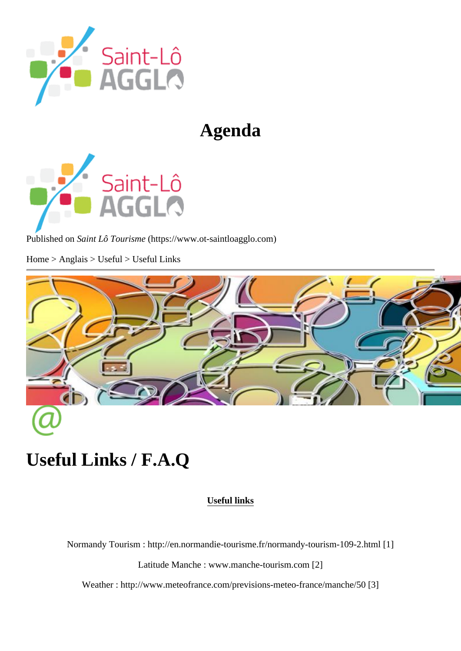# Agenda

Published or Saint Lô Tourism (https://www.ot-saintloagglo.com

Home > Anglais > Useful > Useful Links

# Useful Links / F.A.Q

Useful links

Normandy Tourism http://en.normandie-tourisme.fr/normandy-tourism-109-2.html

Latitude Manche www.manche-tourism.com<sup>[2]</sup>

Weather http://www.meteofrance.com/previsions-meteo-france/manch<sup>8</sup>/50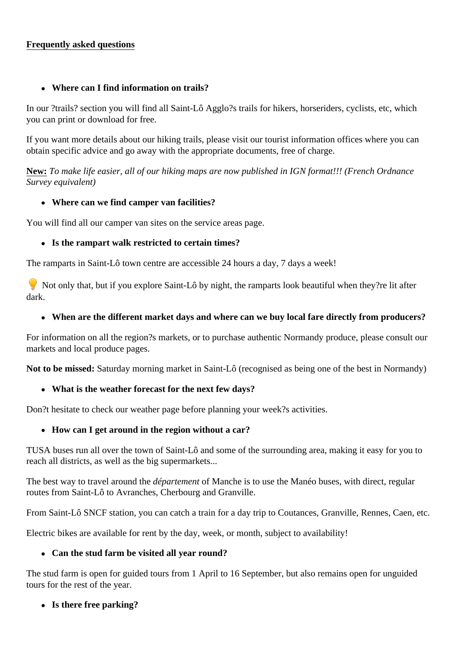## **Frequently asked questions**

#### **Where can I find information on trails?**

In our ?trails? section you will find all Saint-Lô Agglo?s trails for hikers, horseriders, cyclists, etc, which you can print or download for free.

If you want more details about our hiking trails, please visit our tourist information offices where you can obtain specific advice and go away with the appropriate documents, free of charge.

**New:** *To make life easier, all of our hiking maps are now published in IGN format!!! (French Ordnance Survey equivalent)* 

## **Where can we find camper van facilities?**

You will find all our camper van sites on the service areas page.

## **Is the rampart walk restricted to certain times?**

The ramparts in Saint-Lô town centre are accessible 24 hours a day, 7 days a week!

Not only that, but if you explore Saint-Lô by night, the ramparts look beautiful when they?re lit after dark.

## **When are the different market days and where can we buy local fare directly from producers?**

For information on all the region?s markets, or to purchase authentic Normandy produce, please consult our markets and local produce pages.

**Not to be missed:** Saturday morning market in Saint-Lô (recognised as being one of the best in Normandy)

## **What is the weather forecast for the next few days?**

Don?t hesitate to check our weather page before planning your week?s activities.

## **How can I get around in the region without a car?**

TUSA buses run all over the town of Saint-Lô and some of the surrounding area, making it easy for you to reach all districts, as well as the big supermarkets...

The best way to travel around the *département* of Manche is to use the Manéo buses, with direct, regular routes from Saint-Lô to Avranches, Cherbourg and Granville.

From Saint-Lô SNCF station, you can catch a train for a day trip to Coutances, Granville, Rennes, Caen, etc.

Electric bikes are available for rent by the day, week, or month, subject to availability!

## **Can the stud farm be visited all year round?**

The stud farm is open for guided tours from 1 April to 16 September, but also remains open for unguided tours for the rest of the year.

## **Is there free parking?**